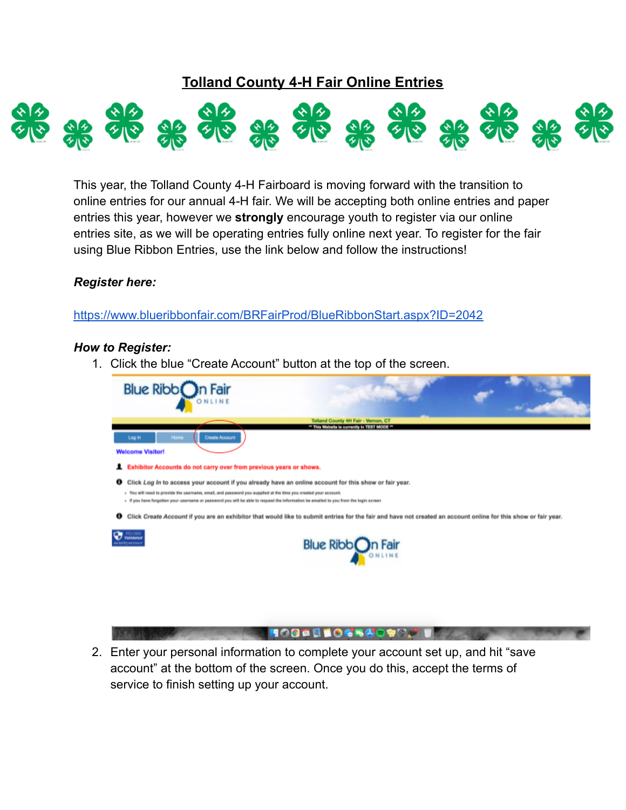## **Tolland County 4-H Fair Online Entries**



This year, the Tolland County 4-H Fairboard is moving forward with the transition to online entries for our annual 4-H fair. We will be accepting both online entries and paper entries this year, however we **strongly** encourage youth to register via our online entries site, as we will be operating entries fully online next year. To register for the fair using Blue Ribbon Entries, use the link below and follow the instructions!

## *Register here:*

<https://www.blueribbonfair.com/BRFairProd/BlueRibbonStart.aspx?ID=2042>

## *How to Register:*

1. Click the blue "Create Account" button at the top of the screen.



2. Enter your personal information to complete your account set up, and hit "save account" at the bottom of the screen. Once you do this, accept the terms of service to finish setting up your account.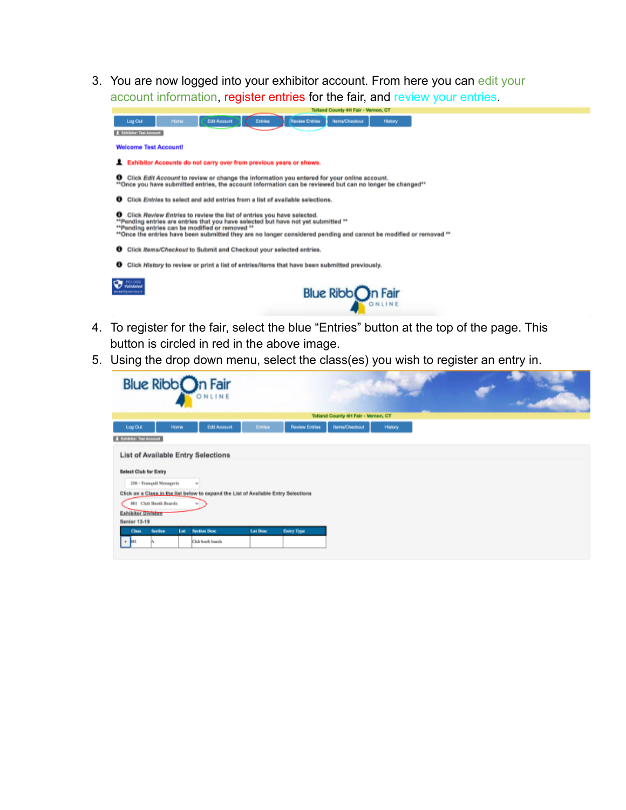3. You are now logged into your exhibitor account. From here you can edit your account information, register entries for the fair, and review your entries.

| Tolland County 4H Fair - Vernon, CT                                                                                                                                                                                                                                                                                                              |
|--------------------------------------------------------------------------------------------------------------------------------------------------------------------------------------------------------------------------------------------------------------------------------------------------------------------------------------------------|
| Edit Account<br><b>Review Entries</b><br><b>Items/Checkout</b><br>Home<br>Log Out<br>Entries<br>History<br><b>I</b> Exhibitor: Test Account                                                                                                                                                                                                      |
| <b>Welcome Test Account!</b>                                                                                                                                                                                                                                                                                                                     |
| Exhibitor Accounts do not carry over from previous years or shows.                                                                                                                                                                                                                                                                               |
| <b>O</b> Click Edit Account to review or change the information you entered for your online account.<br>**Once you have submitted entries, the account information can be reviewed but can no longer be changed**                                                                                                                                |
| Click Entries to select and add entries from a list of available selections.<br>$\bf{o}$                                                                                                                                                                                                                                                         |
| Click Review Entries to review the list of entries you have selected.<br>$\bullet$<br>**Pending entries are entries that you have selected but have not yet submitted **<br>**Pending entries can be modified or removed **<br>**Once the entries have been submitted they are no longer considered pending and cannot be modified or removed ** |
| Click Items/Checkout to Submit and Checkout your selected entries.                                                                                                                                                                                                                                                                               |
| Click History to review or print a list of entries/items that have been submitted previously.<br>o                                                                                                                                                                                                                                               |
| PCI DSS<br><b><i><u>Vailcland</u></i></b><br>Blue Ribbon Fair<br><b>PERMIT SERVICE</b>                                                                                                                                                                                                                                                           |

- 4. To register for the fair, select the blue "Entries" button at the top of the page. This button is circled in red in the above image.
- 5. Using the drop down menu, select the class(es) you wish to register an entry in.

|                                                                                                                       | Blue Ribbon Fair                          |                                                                                     |                 |                       |                                            |         |  |
|-----------------------------------------------------------------------------------------------------------------------|-------------------------------------------|-------------------------------------------------------------------------------------|-----------------|-----------------------|--------------------------------------------|---------|--|
|                                                                                                                       |                                           |                                                                                     |                 |                       | <b>Tolland County 4H Fair - Vernon, CT</b> |         |  |
| Log Out                                                                                                               | <b>Home</b>                               | Edit Account                                                                        | Entries         | <b>Raview Entries</b> | <b>Hams/Checkout</b>                       | History |  |
| <b>A</b> Exhibitor: Test Account                                                                                      |                                           |                                                                                     |                 |                       |                                            |         |  |
| <b>Select Club for Entry</b><br><b>250 - Tranquil Monagerie</b><br>001 Club Booth Boards<br><b>Exhibitor Division</b> | <b>List of Available Entry Selections</b> | Click on a Class in the list below to expand the List of Available Entry Selections |                 |                       |                                            |         |  |
| <b>Senior 13-19</b>                                                                                                   |                                           |                                                                                     |                 |                       |                                            |         |  |
| Class <sub>1</sub>                                                                                                    | <b>Section</b><br>Lat.                    | <b>Section Desc</b>                                                                 | <b>Let Desc</b> | <b>Entry Type</b>     |                                            |         |  |
| $+ 1001$                                                                                                              |                                           | Club hords boards                                                                   |                 |                       |                                            |         |  |
|                                                                                                                       |                                           |                                                                                     |                 |                       |                                            |         |  |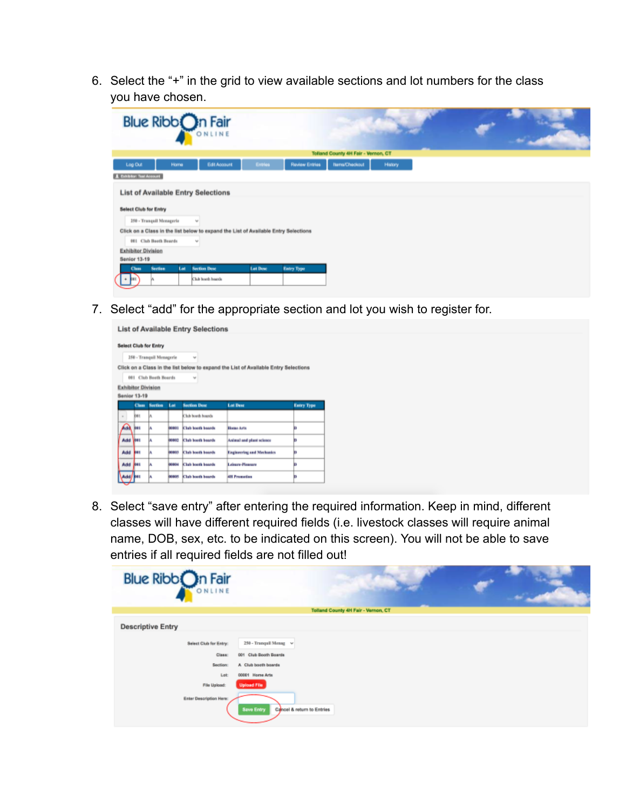6. Select the "+" in the grid to view available sections and lot numbers for the class you have chosen.

| Blue Ribbon Fair                                                                        |                                            |  |
|-----------------------------------------------------------------------------------------|--------------------------------------------|--|
|                                                                                         | <b>Tolland County 4H Fair - Vernon, CT</b> |  |
| Edit Account<br><b>Roview Entries</b><br><b>Entries</b><br>Log Out<br>Home              | <b>Hams/Checkout</b><br>History            |  |
| A Exhibitor: Test Account                                                               |                                            |  |
| <b>List of Available Entry Selections</b><br><b>Select Club for Entry</b>               |                                            |  |
| <b>250 - Tranquil Menagerie</b><br>$\omega$                                             |                                            |  |
| Click on a Class in the list below to expand the List of Available Entry Selections     |                                            |  |
| 001 Club Booth Boards<br>$\omega$                                                       |                                            |  |
| <b>Exhibitor Division</b>                                                               |                                            |  |
| <b>Senior 13-19</b>                                                                     |                                            |  |
| <b>Section</b><br><b>Section Desc</b><br>Let Desc<br><b>Entry Type</b><br>Lat.<br>Class |                                            |  |
| Club hords boards                                                                       |                                            |  |

7. Select "add" for the appropriate section and lot you wish to register for.

|                                           |              |                                 |             | <b>List of Available Entry Selections</b> |                                                                                     |                   |
|-------------------------------------------|--------------|---------------------------------|-------------|-------------------------------------------|-------------------------------------------------------------------------------------|-------------------|
|                                           |              | <b>Select Club for Entry</b>    |             |                                           |                                                                                     |                   |
|                                           |              | <b>250 - Tranquil Menagerie</b> |             | $\sim$                                    |                                                                                     |                   |
| <b>Exhibitor Division</b><br>Senior 13-19 |              | 001 Club Booth Boards           |             | $\overline{\phantom{a}}$                  | Click on a Class in the list below to expand the List of Available Entry Selections |                   |
|                                           | Class        | <b>Nection</b>                  | Lat         | <b>Section Desc</b>                       | <b>Lat Dess</b>                                                                     | <b>Entry Type</b> |
| ٠                                         | <b>ker</b>   | l٨                              |             | Club booth boards                         |                                                                                     |                   |
| Ánd                                       | <b>Base</b>  | l٨                              | 10001       | <b>Club booth boards</b>                  | Home Arts                                                                           | 'n                |
| Add   EST                                 |              | la                              | $-0.001$    | Club bacth baards                         | Animal and plant science                                                            | 'n                |
| Add                                       | <b>Board</b> | l٨                              | 12011       | <b>Club hooth hourds</b>                  | Engineering and Mechanics                                                           | 'n                |
| Add                                       | <b>Rest</b>  | w                               | 110034      | Club booth boards                         | Leisare-Pleasare                                                                    | ь                 |
| Add/001                                   |              | l٨                              | <b>DOM:</b> | Club hoeth boards                         | <b>All Frenches</b>                                                                 | n                 |

8. Select "save entry" after entering the required information. Keep in mind, different classes will have different required fields (i.e. livestock classes will require animal name, DOB, sex, etc. to be indicated on this screen). You will not be able to save entries if all required fields are not filled out!

| Blue Ribb <sup>on</sup> Fair                                         |                                                                                                                 |
|----------------------------------------------------------------------|-----------------------------------------------------------------------------------------------------------------|
|                                                                      | Tolland County 4H Fair - Vernon, CT                                                                             |
| <b>Descriptive Entry</b>                                             |                                                                                                                 |
| Select Club for Entry:<br>Class:<br>Section:<br>Let:<br>File Upload: | 250 - Tranquil Menag v<br>001 Club Booth Boards<br>A Club booth boards<br>00001 Home Arts<br><b>Upload File</b> |
| Enter Description Here:                                              | Cancel & return to Entries<br><b>Save Entry</b>                                                                 |